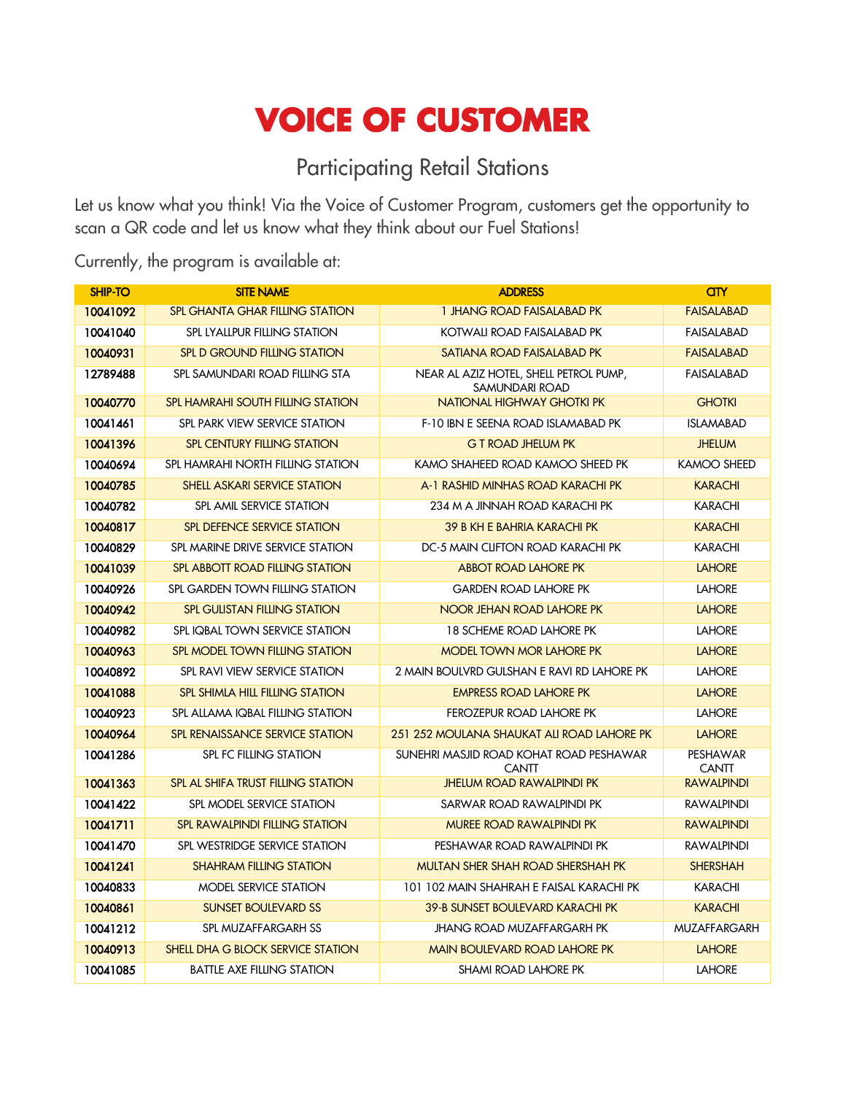## **VOICE OF CUSTOMER**

## Participating Retail Stations

Let us know what you think! Via the Voice of Customer Program, customers get the opportunity to scan a QR code and let us know what they think about our Fuel Stations!

Currently, the program is available at:

| <b>SHIP-TO</b> | <b>SITE NAME</b>                         | <b>ADDRESS</b>                                           | <b>CITY</b>                     |
|----------------|------------------------------------------|----------------------------------------------------------|---------------------------------|
| 10041092       | <b>SPL GHANTA GHAR FILLING STATION</b>   | 1 JHANG ROAD FAISALABAD PK                               | <b>FAISALABAD</b>               |
| 10041040       | <b>SPL LYALLPUR FILLING STATION</b>      | KOTWALI ROAD FAISALABAD PK                               | <b>FAISALABAD</b>               |
| 10040931       | <b>SPL D GROUND FILLING STATION</b>      | SATIANA ROAD FAISALABAD PK                               | <b>FAISALABAD</b>               |
| 12789488       | SPL SAMUNDARI ROAD FILLING STA           | NEAR AL AZIZ HOTEL, SHELL PETROL PUMP,<br>SAMUNDARI ROAD | FAISALABAD                      |
| 10040770       | <b>SPL HAMRAHI SOUTH FILLING STATION</b> | <b>NATIONAL HIGHWAY GHOTKI PK</b>                        | <b>GHOTKI</b>                   |
| 10041461       | SPL PARK VIEW SERVICE STATION            | F-10 IBN E SEENA ROAD ISLAMABAD PK                       | <b>ISLAMABAD</b>                |
| 10041396       | <b>SPL CENTURY FILLING STATION</b>       | <b>G T ROAD JHELUM PK</b>                                | <b>JHELUM</b>                   |
| 10040694       | SPL HAMRAHI NORTH FILLING STATION        | KAMO SHAHEED ROAD KAMOO SHEED PK                         | <b>KAMOO SHEED</b>              |
| 10040785       | SHELL ASKARI SERVICE STATION             | A-1 RASHID MINHAS ROAD KARACHI PK                        | <b>KARACHI</b>                  |
| 10040782       | SPL AMIL SERVICE STATION                 | 234 M A JINNAH ROAD KARACHI PK                           | <b>KARACHI</b>                  |
| 10040817       | SPL DEFENCE SERVICE STATION              | <b>39 B KH E BAHRIA KARACHI PK</b>                       | <b>KARACHI</b>                  |
| 10040829       | SPL MARINE DRIVE SERVICE STATION         | DC-5 MAIN CLIFTON ROAD KARACHI PK                        | <b>KARACHI</b>                  |
| 10041039       | <b>SPL ABBOTT ROAD FILLING STATION</b>   | <b>ABBOT ROAD LAHORE PK</b>                              | <b>LAHORE</b>                   |
| 10040926       | SPL GARDEN TOWN FILLING STATION          | <b>GARDEN ROAD LAHORE PK</b>                             | <b>LAHORE</b>                   |
| 10040942       | <b>SPL GULISTAN FILLING STATION</b>      | NOOR JEHAN ROAD LAHORE PK                                | <b>LAHORE</b>                   |
| 10040982       | SPL IQBAL TOWN SERVICE STATION           | 18 SCHEME ROAD LAHORE PK                                 | <b>LAHORE</b>                   |
| 10040963       | SPL MODEL TOWN FILLING STATION           | <b>MODEL TOWN MOR LAHORE PK</b>                          | <b>LAHORE</b>                   |
| 10040892       | SPL RAVI VIEW SERVICE STATION            | 2 MAIN BOULVRD GULSHAN E RAVI RD LAHORE PK               | <b>LAHORE</b>                   |
| 10041088       | <b>SPL SHIMLA HILL FILLING STATION</b>   | <b>EMPRESS ROAD LAHORE PK</b>                            | <b>LAHORE</b>                   |
| 10040923       | SPL ALLAMA IQBAL FILLING STATION         | FEROZEPUR ROAD LAHORE PK                                 | <b>LAHORE</b>                   |
| 10040964       | SPL RENAISSANCE SERVICE STATION          | 251 252 MOULANA SHAUKAT ALI ROAD LAHORE PK               | <b>LAHORE</b>                   |
| 10041286       | SPL FC FILLING STATION                   | SUNEHRI MASJID ROAD KOHAT ROAD PESHAWAR<br><b>CANTT</b>  | <b>PESHAWAR</b><br><b>CANTT</b> |
| 10041363       | SPL AL SHIFA TRUST FILLING STATION       | <b>JHELUM ROAD RAWALPINDI PK</b>                         | <b>RAWALPINDI</b>               |
| 10041422       | SPL MODEL SERVICE STATION                | SARWAR ROAD RAWALPINDI PK                                | <b>RAWALPINDI</b>               |
| 10041711       | <b>SPL RAWALPINDI FILLING STATION</b>    | <b>MUREE ROAD RAWALPINDI PK</b>                          | <b>RAWALPINDI</b>               |
| 10041470       | SPL WESTRIDGE SERVICE STATION            | PESHAWAR ROAD RAWALPINDI PK                              | <b>RAWALPINDI</b>               |
| 10041241       | <b>SHAHRAM FILLING STATION</b>           | <b>MULTAN SHER SHAH ROAD SHERSHAH PK</b>                 | <b>SHERSHAH</b>                 |
| 10040833       | MODEL SERVICE STATION                    | 101 102 MAIN SHAHRAH E FAISAL KARACHI PK                 | <b>KARACHI</b>                  |
| 10040861       | <b>SUNSET BOULEVARD SS</b>               | <b>39-B SUNSET BOULEVARD KARACHI PK</b>                  | <b>KARACHI</b>                  |
| 10041212       | SPL MUZAFFARGARH SS                      | <b>JHANG ROAD MUZAFFARGARH PK</b>                        | <b>MUZAFFARGARH</b>             |
| 10040913       | <b>SHELL DHA G BLOCK SERVICE STATION</b> | <b>MAIN BOULEVARD ROAD LAHORE PK</b>                     | <b>LAHORE</b>                   |
| 10041085       | <b>BATTLE AXE FILLING STATION</b>        | <b>SHAMI ROAD LAHORE PK</b>                              | <b>LAHORE</b>                   |